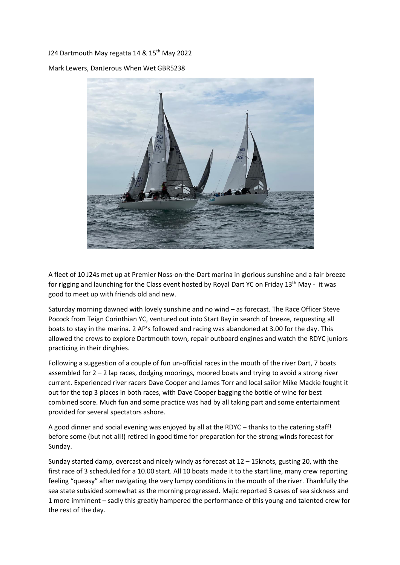## J24 Dartmouth May regatta 14 & 15<sup>th</sup> May 2022

Mark Lewers, DanJerous When Wet GBR5238



A fleet of 10 J24s met up at Premier Noss-on-the-Dart marina in glorious sunshine and a fair breeze for rigging and launching for the Class event hosted by Royal Dart YC on Friday 13<sup>th</sup> May - it was good to meet up with friends old and new.

Saturday morning dawned with lovely sunshine and no wind – as forecast. The Race Officer Steve Pocock from Teign Corinthian YC, ventured out into Start Bay in search of breeze, requesting all boats to stay in the marina. 2 AP's followed and racing was abandoned at 3.00 for the day. This allowed the crews to explore Dartmouth town, repair outboard engines and watch the RDYC juniors practicing in their dinghies.

Following a suggestion of a couple of fun un-official races in the mouth of the river Dart, 7 boats assembled for 2 – 2 lap races, dodging moorings, moored boats and trying to avoid a strong river current. Experienced river racers Dave Cooper and James Torr and local sailor Mike Mackie fought it out for the top 3 places in both races, with Dave Cooper bagging the bottle of wine for best combined score. Much fun and some practice was had by all taking part and some entertainment provided for several spectators ashore.

A good dinner and social evening was enjoyed by all at the RDYC – thanks to the catering staff! before some (but not all!) retired in good time for preparation for the strong winds forecast for Sunday.

Sunday started damp, overcast and nicely windy as forecast at 12 – 15knots, gusting 20, with the first race of 3 scheduled for a 10.00 start. All 10 boats made it to the start line, many crew reporting feeling "queasy" after navigating the very lumpy conditions in the mouth of the river. Thankfully the sea state subsided somewhat as the morning progressed. Majic reported 3 cases of sea sickness and 1 more imminent – sadly this greatly hampered the performance of this young and talented crew for the rest of the day.